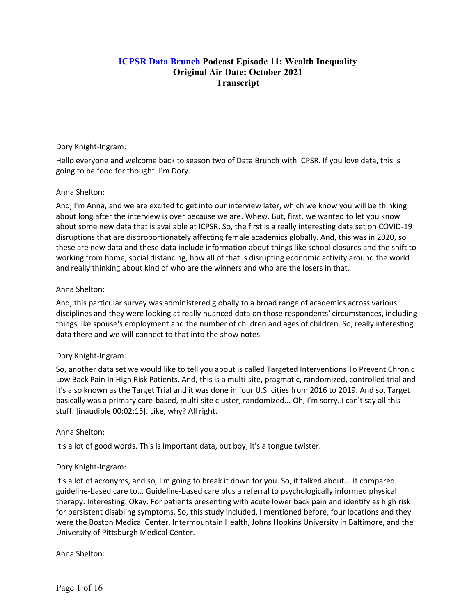# **ICPSR Data Brunch Podcast Episode 11: Wealth Inequality Original Air Date: October 2021 Transcript**

### Dory Knight-Ingram:

Hello everyone and welcome back to season two of Data Brunch with ICPSR. If you love data, this is going to be food for thought. I'm Dory.

### Anna Shelton:

And, I'm Anna, and we are excited to get into our interview later, which we know you will be thinking about long after the interview is over because we are. Whew. But, first, we wanted to let you know about some new data that is available at ICPSR. So, the first is a really interesting data set on COVID-19 disruptions that are disproportionately affecting female academics globally. And, this was in 2020, so these are new data and these data include information about things like school closures and the shift to working from home, social distancing, how all of that is disrupting economic activity around the world and really thinking about kind of who are the winners and who are the losers in that.

#### Anna Shelton:

And, this particular survey was administered globally to a broad range of academics across various disciplines and they were looking at really nuanced data on those respondents' circumstances, including things like spouse's employment and the number of children and ages of children. So, really interesting data there and we will connect to that into the show notes.

### Dory Knight-Ingram:

So, another data set we would like to tell you about is called Targeted Interventions To Prevent Chronic Low Back Pain In High Risk Patients. And, this is a multi-site, pragmatic, randomized, controlled trial and it's also known as the Target Trial and it was done in four U.S. cities from 2016 to 2019. And so, Target basically was a primary care-based, multi-site cluster, randomized... Oh, I'm sorry. I can't say all this stuff. [inaudible 00:02:15]. Like, why? All right.

#### Anna Shelton:

It's a lot of good words. This is important data, but boy, it's a tongue twister.

### Dory Knight-Ingram:

It's a lot of acronyms, and so, I'm going to break it down for you. So, it talked about... It compared guideline-based care to... Guideline-based care plus a referral to psychologically informed physical therapy. Interesting. Okay. For patients presenting with acute lower back pain and identify as high risk for persistent disabling symptoms. So, this study included, I mentioned before, four locations and they were the Boston Medical Center, Intermountain Health, Johns Hopkins University in Baltimore, and the University of Pittsburgh Medical Center.

Anna Shelton: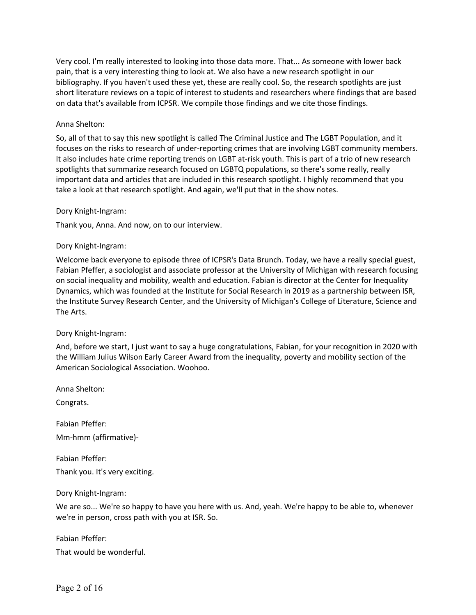Very cool. I'm really interested to looking into those data more. That... As someone with lower back pain, that is a very interesting thing to look at. We also have a new research spotlight in our bibliography. If you haven't used these yet, these are really cool. So, the research spotlights are just short literature reviews on a topic of interest to students and researchers where findings that are based on data that's available from ICPSR. We compile those findings and we cite those findings.

### Anna Shelton:

So, all of that to say this new spotlight is called The Criminal Justice and The LGBT Population, and it focuses on the risks to research of under-reporting crimes that are involving LGBT community members. It also includes hate crime reporting trends on LGBT at-risk youth. This is part of a trio of new research spotlights that summarize research focused on LGBTQ populations, so there's some really, really important data and articles that are included in this research spotlight. I highly recommend that you take a look at that research spotlight. And again, we'll put that in the show notes.

Dory Knight-Ingram:

Thank you, Anna. And now, on to our interview.

Dory Knight-Ingram:

Welcome back everyone to episode three of ICPSR's Data Brunch. Today, we have a really special guest, Fabian Pfeffer, a sociologist and associate professor at the University of Michigan with research focusing on social inequality and mobility, wealth and education. Fabian is director at the Center for Inequality Dynamics, which was founded at the Institute for Social Research in 2019 as a partnership between ISR, the Institute Survey Research Center, and the University of Michigan's College of Literature, Science and The Arts.

### Dory Knight-Ingram:

And, before we start, I just want to say a huge congratulations, Fabian, for your recognition in 2020 with the William Julius Wilson Early Career Award from the inequality, poverty and mobility section of the American Sociological Association. Woohoo.

Anna Shelton:

Congrats.

Fabian Pfeffer:

Mm-hmm (affirmative)-

Fabian Pfeffer: Thank you. It's very exciting.

### Dory Knight-Ingram:

We are so... We're so happy to have you here with us. And, yeah. We're happy to be able to, whenever we're in person, cross path with you at ISR. So.

Fabian Pfeffer:

That would be wonderful.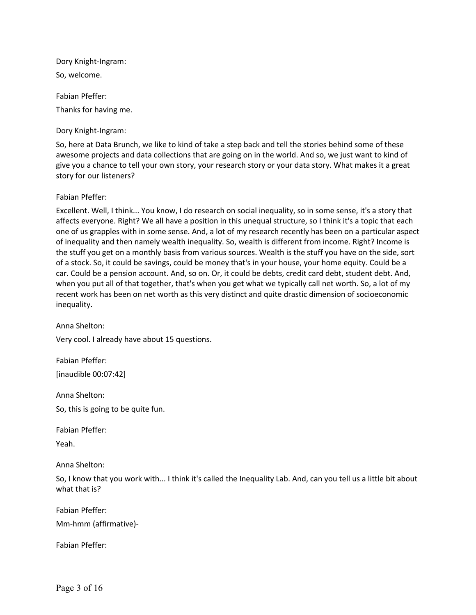Dory Knight-Ingram: So, welcome.

Fabian Pfeffer: Thanks for having me.

Dory Knight-Ingram:

So, here at Data Brunch, we like to kind of take a step back and tell the stories behind some of these awesome projects and data collections that are going on in the world. And so, we just want to kind of give you a chance to tell your own story, your research story or your data story. What makes it a great story for our listeners?

Fabian Pfeffer:

Excellent. Well, I think... You know, I do research on social inequality, so in some sense, it's a story that affects everyone. Right? We all have a position in this unequal structure, so I think it's a topic that each one of us grapples with in some sense. And, a lot of my research recently has been on a particular aspect of inequality and then namely wealth inequality. So, wealth is different from income. Right? Income is the stuff you get on a monthly basis from various sources. Wealth is the stuff you have on the side, sort of a stock. So, it could be savings, could be money that's in your house, your home equity. Could be a car. Could be a pension account. And, so on. Or, it could be debts, credit card debt, student debt. And, when you put all of that together, that's when you get what we typically call net worth. So, a lot of my recent work has been on net worth as this very distinct and quite drastic dimension of socioeconomic inequality.

Anna Shelton:

Very cool. I already have about 15 questions.

Fabian Pfeffer: [inaudible 00:07:42]

Anna Shelton: So, this is going to be quite fun.

Fabian Pfeffer:

Yeah.

Anna Shelton:

So, I know that you work with... I think it's called the Inequality Lab. And, can you tell us a little bit about what that is?

Fabian Pfeffer: Mm-hmm (affirmative)-

Fabian Pfeffer: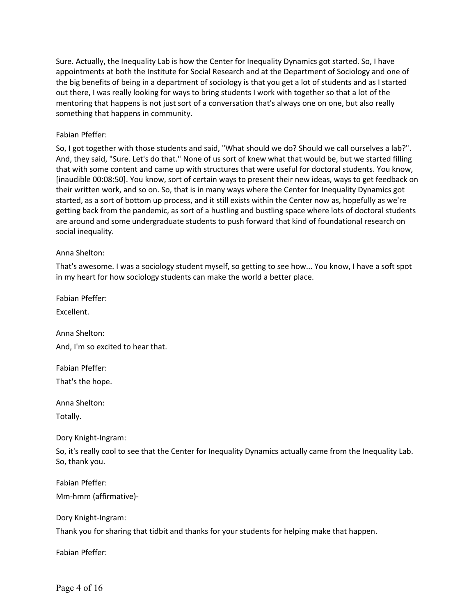Sure. Actually, the Inequality Lab is how the Center for Inequality Dynamics got started. So, I have appointments at both the Institute for Social Research and at the Department of Sociology and one of the big benefits of being in a department of sociology is that you get a lot of students and as I started out there, I was really looking for ways to bring students I work with together so that a lot of the mentoring that happens is not just sort of a conversation that's always one on one, but also really something that happens in community.

### Fabian Pfeffer:

So, I got together with those students and said, "What should we do? Should we call ourselves a lab?". And, they said, "Sure. Let's do that." None of us sort of knew what that would be, but we started filling that with some content and came up with structures that were useful for doctoral students. You know, [inaudible 00:08:50]. You know, sort of certain ways to present their new ideas, ways to get feedback on their written work, and so on. So, that is in many ways where the Center for Inequality Dynamics got started, as a sort of bottom up process, and it still exists within the Center now as, hopefully as we're getting back from the pandemic, as sort of a hustling and bustling space where lots of doctoral students are around and some undergraduate students to push forward that kind of foundational research on social inequality.

### Anna Shelton:

That's awesome. I was a sociology student myself, so getting to see how... You know, I have a soft spot in my heart for how sociology students can make the world a better place.

Fabian Pfeffer:

Excellent.

Anna Shelton: And, I'm so excited to hear that.

Fabian Pfeffer:

That's the hope.

Anna Shelton:

Totally.

Dory Knight-Ingram:

So, it's really cool to see that the Center for Inequality Dynamics actually came from the Inequality Lab. So, thank you.

Fabian Pfeffer: Mm-hmm (affirmative)-

Dory Knight-Ingram:

Thank you for sharing that tidbit and thanks for your students for helping make that happen.

Fabian Pfeffer: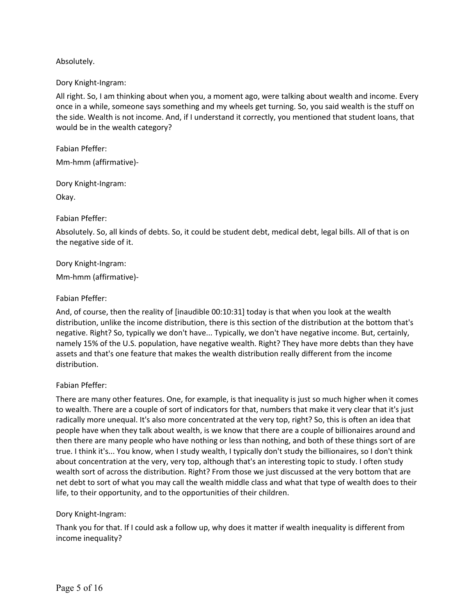# Absolutely.

### Dory Knight-Ingram:

All right. So, I am thinking about when you, a moment ago, were talking about wealth and income. Every once in a while, someone says something and my wheels get turning. So, you said wealth is the stuff on the side. Wealth is not income. And, if I understand it correctly, you mentioned that student loans, that would be in the wealth category?

Fabian Pfeffer:

Mm-hmm (affirmative)-

Dory Knight-Ingram:

Okay.

### Fabian Pfeffer:

Absolutely. So, all kinds of debts. So, it could be student debt, medical debt, legal bills. All of that is on the negative side of it.

### Dory Knight-Ingram:

Mm-hmm (affirmative)-

#### Fabian Pfeffer:

And, of course, then the reality of [inaudible 00:10:31] today is that when you look at the wealth distribution, unlike the income distribution, there is this section of the distribution at the bottom that's negative. Right? So, typically we don't have... Typically, we don't have negative income. But, certainly, namely 15% of the U.S. population, have negative wealth. Right? They have more debts than they have assets and that's one feature that makes the wealth distribution really different from the income distribution.

### Fabian Pfeffer:

There are many other features. One, for example, is that inequality is just so much higher when it comes to wealth. There are a couple of sort of indicators for that, numbers that make it very clear that it's just radically more unequal. It's also more concentrated at the very top, right? So, this is often an idea that people have when they talk about wealth, is we know that there are a couple of billionaires around and then there are many people who have nothing or less than nothing, and both of these things sort of are true. I think it's... You know, when I study wealth, I typically don't study the billionaires, so I don't think about concentration at the very, very top, although that's an interesting topic to study. I often study wealth sort of across the distribution. Right? From those we just discussed at the very bottom that are net debt to sort of what you may call the wealth middle class and what that type of wealth does to their life, to their opportunity, and to the opportunities of their children.

### Dory Knight-Ingram:

Thank you for that. If I could ask a follow up, why does it matter if wealth inequality is different from income inequality?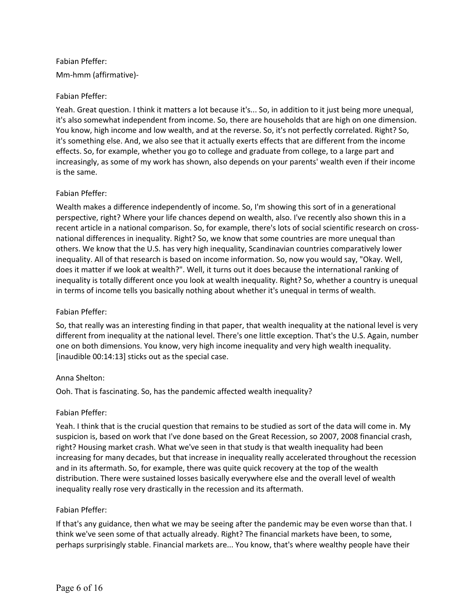# Fabian Pfeffer: Mm-hmm (affirmative)-

# Fabian Pfeffer:

Yeah. Great question. I think it matters a lot because it's... So, in addition to it just being more unequal, it's also somewhat independent from income. So, there are households that are high on one dimension. You know, high income and low wealth, and at the reverse. So, it's not perfectly correlated. Right? So, it's something else. And, we also see that it actually exerts effects that are different from the income effects. So, for example, whether you go to college and graduate from college, to a large part and increasingly, as some of my work has shown, also depends on your parents' wealth even if their income is the same.

# Fabian Pfeffer:

Wealth makes a difference independently of income. So, I'm showing this sort of in a generational perspective, right? Where your life chances depend on wealth, also. I've recently also shown this in a recent article in a national comparison. So, for example, there's lots of social scientific research on crossnational differences in inequality. Right? So, we know that some countries are more unequal than others. We know that the U.S. has very high inequality, Scandinavian countries comparatively lower inequality. All of that research is based on income information. So, now you would say, "Okay. Well, does it matter if we look at wealth?". Well, it turns out it does because the international ranking of inequality is totally different once you look at wealth inequality. Right? So, whether a country is unequal in terms of income tells you basically nothing about whether it's unequal in terms of wealth.

### Fabian Pfeffer:

So, that really was an interesting finding in that paper, that wealth inequality at the national level is very different from inequality at the national level. There's one little exception. That's the U.S. Again, number one on both dimensions. You know, very high income inequality and very high wealth inequality. [inaudible 00:14:13] sticks out as the special case.

### Anna Shelton:

Ooh. That is fascinating. So, has the pandemic affected wealth inequality?

# Fabian Pfeffer:

Yeah. I think that is the crucial question that remains to be studied as sort of the data will come in. My suspicion is, based on work that I've done based on the Great Recession, so 2007, 2008 financial crash, right? Housing market crash. What we've seen in that study is that wealth inequality had been increasing for many decades, but that increase in inequality really accelerated throughout the recession and in its aftermath. So, for example, there was quite quick recovery at the top of the wealth distribution. There were sustained losses basically everywhere else and the overall level of wealth inequality really rose very drastically in the recession and its aftermath.

### Fabian Pfeffer:

If that's any guidance, then what we may be seeing after the pandemic may be even worse than that. I think we've seen some of that actually already. Right? The financial markets have been, to some, perhaps surprisingly stable. Financial markets are... You know, that's where wealthy people have their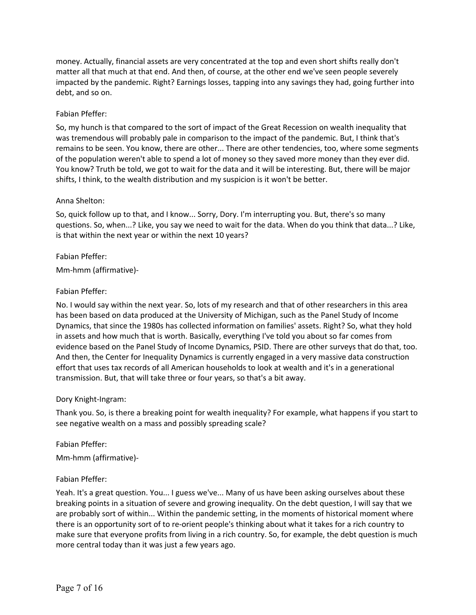money. Actually, financial assets are very concentrated at the top and even short shifts really don't matter all that much at that end. And then, of course, at the other end we've seen people severely impacted by the pandemic. Right? Earnings losses, tapping into any savings they had, going further into debt, and so on.

# Fabian Pfeffer:

So, my hunch is that compared to the sort of impact of the Great Recession on wealth inequality that was tremendous will probably pale in comparison to the impact of the pandemic. But, I think that's remains to be seen. You know, there are other... There are other tendencies, too, where some segments of the population weren't able to spend a lot of money so they saved more money than they ever did. You know? Truth be told, we got to wait for the data and it will be interesting. But, there will be major shifts, I think, to the wealth distribution and my suspicion is it won't be better.

### Anna Shelton:

So, quick follow up to that, and I know... Sorry, Dory. I'm interrupting you. But, there's so many questions. So, when...? Like, you say we need to wait for the data. When do you think that data...? Like, is that within the next year or within the next 10 years?

### Fabian Pfeffer:

Mm-hmm (affirmative)-

#### Fabian Pfeffer:

No. I would say within the next year. So, lots of my research and that of other researchers in this area has been based on data produced at the University of Michigan, such as the Panel Study of Income Dynamics, that since the 1980s has collected information on families' assets. Right? So, what they hold in assets and how much that is worth. Basically, everything I've told you about so far comes from evidence based on the Panel Study of Income Dynamics, PSID. There are other surveys that do that, too. And then, the Center for Inequality Dynamics is currently engaged in a very massive data construction effort that uses tax records of all American households to look at wealth and it's in a generational transmission. But, that will take three or four years, so that's a bit away.

### Dory Knight-Ingram:

Thank you. So, is there a breaking point for wealth inequality? For example, what happens if you start to see negative wealth on a mass and possibly spreading scale?

Fabian Pfeffer: Mm-hmm (affirmative)-

### Fabian Pfeffer:

Yeah. It's a great question. You... I guess we've... Many of us have been asking ourselves about these breaking points in a situation of severe and growing inequality. On the debt question, I will say that we are probably sort of within... Within the pandemic setting, in the moments of historical moment where there is an opportunity sort of to re-orient people's thinking about what it takes for a rich country to make sure that everyone profits from living in a rich country. So, for example, the debt question is much more central today than it was just a few years ago.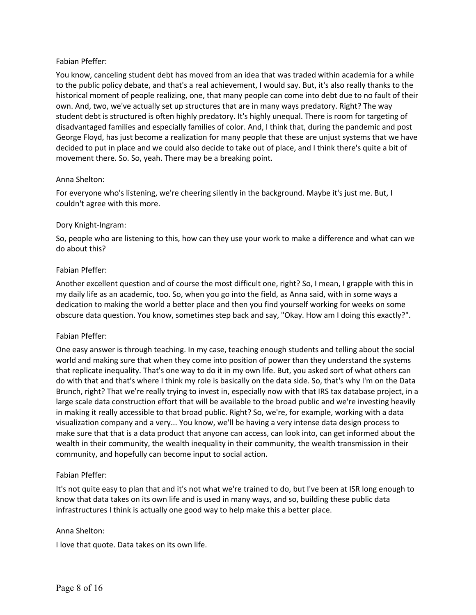### Fabian Pfeffer:

You know, canceling student debt has moved from an idea that was traded within academia for a while to the public policy debate, and that's a real achievement, I would say. But, it's also really thanks to the historical moment of people realizing, one, that many people can come into debt due to no fault of their own. And, two, we've actually set up structures that are in many ways predatory. Right? The way student debt is structured is often highly predatory. It's highly unequal. There is room for targeting of disadvantaged families and especially families of color. And, I think that, during the pandemic and post George Floyd, has just become a realization for many people that these are unjust systems that we have decided to put in place and we could also decide to take out of place, and I think there's quite a bit of movement there. So. So, yeah. There may be a breaking point.

### Anna Shelton:

For everyone who's listening, we're cheering silently in the background. Maybe it's just me. But, I couldn't agree with this more.

### Dory Knight-Ingram:

So, people who are listening to this, how can they use your work to make a difference and what can we do about this?

# Fabian Pfeffer:

Another excellent question and of course the most difficult one, right? So, I mean, I grapple with this in my daily life as an academic, too. So, when you go into the field, as Anna said, with in some ways a dedication to making the world a better place and then you find yourself working for weeks on some obscure data question. You know, sometimes step back and say, "Okay. How am I doing this exactly?".

### Fabian Pfeffer:

One easy answer is through teaching. In my case, teaching enough students and telling about the social world and making sure that when they come into position of power than they understand the systems that replicate inequality. That's one way to do it in my own life. But, you asked sort of what others can do with that and that's where I think my role is basically on the data side. So, that's why I'm on the Data Brunch, right? That we're really trying to invest in, especially now with that IRS tax database project, in a large scale data construction effort that will be available to the broad public and we're investing heavily in making it really accessible to that broad public. Right? So, we're, for example, working with a data visualization company and a very... You know, we'll be having a very intense data design process to make sure that that is a data product that anyone can access, can look into, can get informed about the wealth in their community, the wealth inequality in their community, the wealth transmission in their community, and hopefully can become input to social action.

# Fabian Pfeffer:

It's not quite easy to plan that and it's not what we're trained to do, but I've been at ISR long enough to know that data takes on its own life and is used in many ways, and so, building these public data infrastructures I think is actually one good way to help make this a better place.

### Anna Shelton:

I love that quote. Data takes on its own life.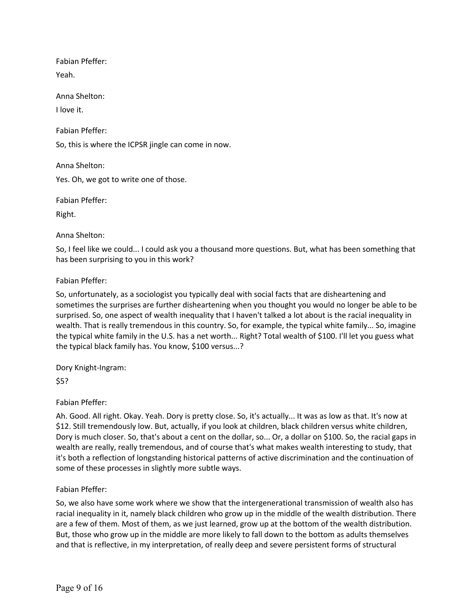Fabian Pfeffer: Yeah.

Anna Shelton:

I love it.

Fabian Pfeffer:

So, this is where the ICPSR jingle can come in now.

Anna Shelton:

Yes. Oh, we got to write one of those.

Fabian Pfeffer:

Right.

Anna Shelton:

So, I feel like we could... I could ask you a thousand more questions. But, what has been something that has been surprising to you in this work?

# Fabian Pfeffer:

So, unfortunately, as a sociologist you typically deal with social facts that are disheartening and sometimes the surprises are further disheartening when you thought you would no longer be able to be surprised. So, one aspect of wealth inequality that I haven't talked a lot about is the racial inequality in wealth. That is really tremendous in this country. So, for example, the typical white family... So, imagine the typical white family in the U.S. has a net worth... Right? Total wealth of \$100. I'll let you guess what the typical black family has. You know, \$100 versus...?

Dory Knight-Ingram:

\$5?

Fabian Pfeffer:

Ah. Good. All right. Okay. Yeah. Dory is pretty close. So, it's actually... It was as low as that. It's now at \$12. Still tremendously low. But, actually, if you look at children, black children versus white children, Dory is much closer. So, that's about a cent on the dollar, so... Or, a dollar on \$100. So, the racial gaps in wealth are really, really tremendous, and of course that's what makes wealth interesting to study, that it's both a reflection of longstanding historical patterns of active discrimination and the continuation of some of these processes in slightly more subtle ways.

# Fabian Pfeffer:

So, we also have some work where we show that the intergenerational transmission of wealth also has racial inequality in it, namely black children who grow up in the middle of the wealth distribution. There are a few of them. Most of them, as we just learned, grow up at the bottom of the wealth distribution. But, those who grow up in the middle are more likely to fall down to the bottom as adults themselves and that is reflective, in my interpretation, of really deep and severe persistent forms of structural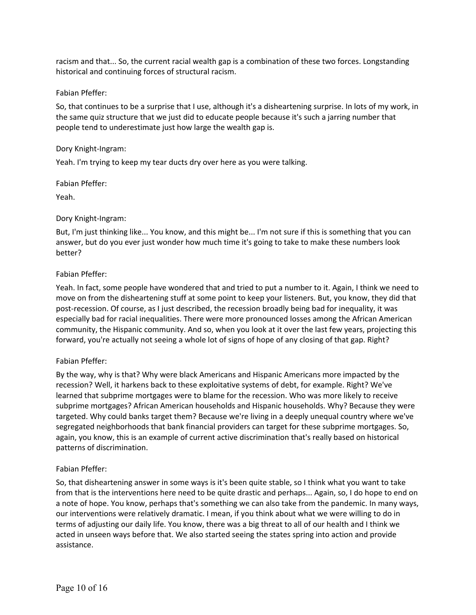racism and that... So, the current racial wealth gap is a combination of these two forces. Longstanding historical and continuing forces of structural racism.

### Fabian Pfeffer:

So, that continues to be a surprise that I use, although it's a disheartening surprise. In lots of my work, in the same quiz structure that we just did to educate people because it's such a jarring number that people tend to underestimate just how large the wealth gap is.

### Dory Knight-Ingram:

Yeah. I'm trying to keep my tear ducts dry over here as you were talking.

### Fabian Pfeffer:

Yeah.

# Dory Knight-Ingram:

But, I'm just thinking like... You know, and this might be... I'm not sure if this is something that you can answer, but do you ever just wonder how much time it's going to take to make these numbers look better?

# Fabian Pfeffer:

Yeah. In fact, some people have wondered that and tried to put a number to it. Again, I think we need to move on from the disheartening stuff at some point to keep your listeners. But, you know, they did that post-recession. Of course, as I just described, the recession broadly being bad for inequality, it was especially bad for racial inequalities. There were more pronounced losses among the African American community, the Hispanic community. And so, when you look at it over the last few years, projecting this forward, you're actually not seeing a whole lot of signs of hope of any closing of that gap. Right?

# Fabian Pfeffer:

By the way, why is that? Why were black Americans and Hispanic Americans more impacted by the recession? Well, it harkens back to these exploitative systems of debt, for example. Right? We've learned that subprime mortgages were to blame for the recession. Who was more likely to receive subprime mortgages? African American households and Hispanic households. Why? Because they were targeted. Why could banks target them? Because we're living in a deeply unequal country where we've segregated neighborhoods that bank financial providers can target for these subprime mortgages. So, again, you know, this is an example of current active discrimination that's really based on historical patterns of discrimination.

### Fabian Pfeffer:

So, that disheartening answer in some ways is it's been quite stable, so I think what you want to take from that is the interventions here need to be quite drastic and perhaps... Again, so, I do hope to end on a note of hope. You know, perhaps that's something we can also take from the pandemic. In many ways, our interventions were relatively dramatic. I mean, if you think about what we were willing to do in terms of adjusting our daily life. You know, there was a big threat to all of our health and I think we acted in unseen ways before that. We also started seeing the states spring into action and provide assistance.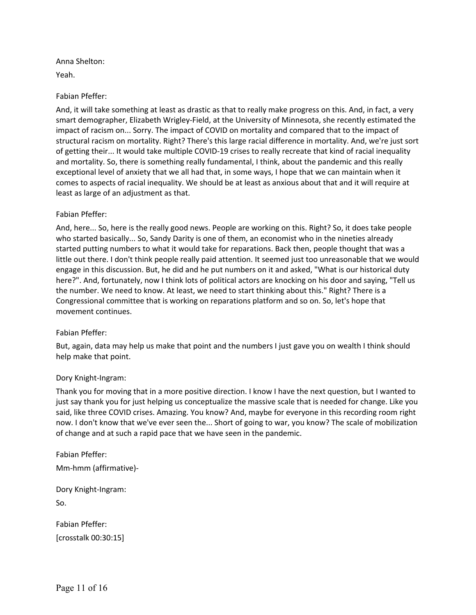Anna Shelton:

Yeah.

# Fabian Pfeffer:

And, it will take something at least as drastic as that to really make progress on this. And, in fact, a very smart demographer, Elizabeth Wrigley-Field, at the University of Minnesota, she recently estimated the impact of racism on... Sorry. The impact of COVID on mortality and compared that to the impact of structural racism on mortality. Right? There's this large racial difference in mortality. And, we're just sort of getting their... It would take multiple COVID-19 crises to really recreate that kind of racial inequality and mortality. So, there is something really fundamental, I think, about the pandemic and this really exceptional level of anxiety that we all had that, in some ways, I hope that we can maintain when it comes to aspects of racial inequality. We should be at least as anxious about that and it will require at least as large of an adjustment as that.

# Fabian Pfeffer:

And, here... So, here is the really good news. People are working on this. Right? So, it does take people who started basically... So, Sandy Darity is one of them, an economist who in the nineties already started putting numbers to what it would take for reparations. Back then, people thought that was a little out there. I don't think people really paid attention. It seemed just too unreasonable that we would engage in this discussion. But, he did and he put numbers on it and asked, "What is our historical duty here?". And, fortunately, now I think lots of political actors are knocking on his door and saying, "Tell us the number. We need to know. At least, we need to start thinking about this." Right? There is a Congressional committee that is working on reparations platform and so on. So, let's hope that movement continues.

### Fabian Pfeffer:

But, again, data may help us make that point and the numbers I just gave you on wealth I think should help make that point.

### Dory Knight-Ingram:

Thank you for moving that in a more positive direction. I know I have the next question, but I wanted to just say thank you for just helping us conceptualize the massive scale that is needed for change. Like you said, like three COVID crises. Amazing. You know? And, maybe for everyone in this recording room right now. I don't know that we've ever seen the... Short of going to war, you know? The scale of mobilization of change and at such a rapid pace that we have seen in the pandemic.

Fabian Pfeffer: Mm-hmm (affirmative)-

Dory Knight-Ingram: So.

Fabian Pfeffer: [crosstalk 00:30:15]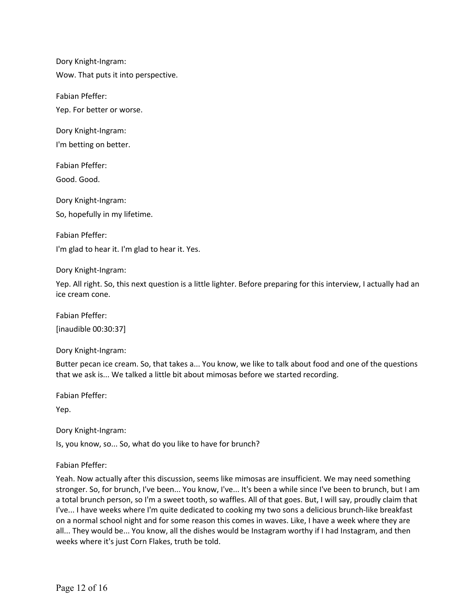Dory Knight-Ingram: Wow. That puts it into perspective.

Fabian Pfeffer: Yep. For better or worse.

Dory Knight-Ingram:

I'm betting on better.

Fabian Pfeffer: Good. Good.

Dory Knight-Ingram: So, hopefully in my lifetime.

Fabian Pfeffer: I'm glad to hear it. I'm glad to hear it. Yes.

Dory Knight-Ingram:

Yep. All right. So, this next question is a little lighter. Before preparing for this interview, I actually had an ice cream cone.

Fabian Pfeffer: [inaudible 00:30:37]

Dory Knight-Ingram:

Butter pecan ice cream. So, that takes a... You know, we like to talk about food and one of the questions that we ask is... We talked a little bit about mimosas before we started recording.

Fabian Pfeffer:

Yep.

Dory Knight-Ingram:

Is, you know, so... So, what do you like to have for brunch?

Fabian Pfeffer:

Yeah. Now actually after this discussion, seems like mimosas are insufficient. We may need something stronger. So, for brunch, I've been... You know, I've... It's been a while since I've been to brunch, but I am a total brunch person, so I'm a sweet tooth, so waffles. All of that goes. But, I will say, proudly claim that I've... I have weeks where I'm quite dedicated to cooking my two sons a delicious brunch-like breakfast on a normal school night and for some reason this comes in waves. Like, I have a week where they are all... They would be... You know, all the dishes would be Instagram worthy if I had Instagram, and then weeks where it's just Corn Flakes, truth be told.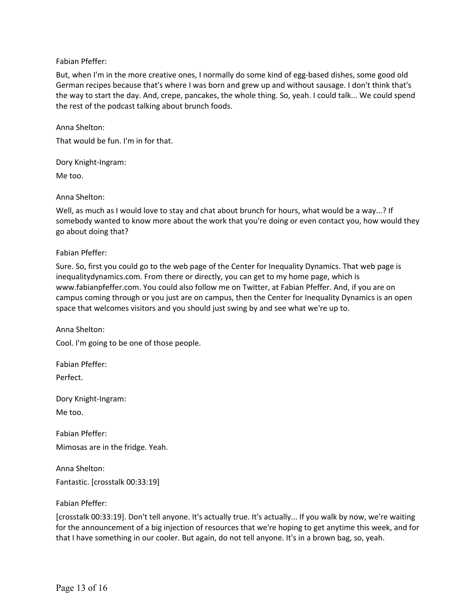### Fabian Pfeffer:

But, when I'm in the more creative ones, I normally do some kind of egg-based dishes, some good old German recipes because that's where I was born and grew up and without sausage. I don't think that's the way to start the day. And, crepe, pancakes, the whole thing. So, yeah. I could talk... We could spend the rest of the podcast talking about brunch foods.

### Anna Shelton:

That would be fun. I'm in for that.

Dory Knight-Ingram:

Me too.

#### Anna Shelton:

Well, as much as I would love to stay and chat about brunch for hours, what would be a way...? If somebody wanted to know more about the work that you're doing or even contact you, how would they go about doing that?

#### Fabian Pfeffer:

Sure. So, first you could go to the web page of the Center for Inequality Dynamics. That web page is inequalitydynamics.com. From there or directly, you can get to my home page, which is www.fabianpfeffer.com. You could also follow me on Twitter, at Fabian Pfeffer. And, if you are on campus coming through or you just are on campus, then the Center for Inequality Dynamics is an open space that welcomes visitors and you should just swing by and see what we're up to.

Anna Shelton:

Cool. I'm going to be one of those people.

Fabian Pfeffer: Perfect.

Dory Knight-Ingram: Me too.

Fabian Pfeffer: Mimosas are in the fridge. Yeah.

Anna Shelton:

Fantastic. [crosstalk 00:33:19]

### Fabian Pfeffer:

[crosstalk 00:33:19]. Don't tell anyone. It's actually true. It's actually... If you walk by now, we're waiting for the announcement of a big injection of resources that we're hoping to get anytime this week, and for that I have something in our cooler. But again, do not tell anyone. It's in a brown bag, so, yeah.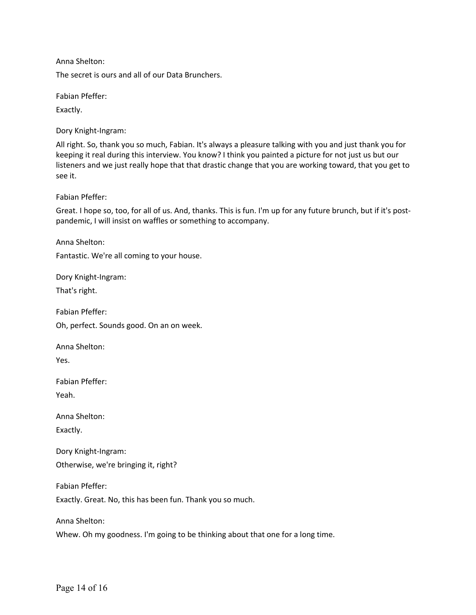Anna Shelton:

The secret is ours and all of our Data Brunchers.

Fabian Pfeffer:

Exactly.

Dory Knight-Ingram:

All right. So, thank you so much, Fabian. It's always a pleasure talking with you and just thank you for keeping it real during this interview. You know? I think you painted a picture for not just us but our listeners and we just really hope that that drastic change that you are working toward, that you get to see it.

Fabian Pfeffer:

Great. I hope so, too, for all of us. And, thanks. This is fun. I'm up for any future brunch, but if it's postpandemic, I will insist on waffles or something to accompany.

Anna Shelton:

Fantastic. We're all coming to your house.

Dory Knight-Ingram:

That's right.

Fabian Pfeffer:

Oh, perfect. Sounds good. On an on week.

Anna Shelton:

Yes.

Fabian Pfeffer:

Yeah.

Anna Shelton:

Exactly.

Dory Knight-Ingram: Otherwise, we're bringing it, right?

Fabian Pfeffer:

Exactly. Great. No, this has been fun. Thank you so much.

Anna Shelton:

Whew. Oh my goodness. I'm going to be thinking about that one for a long time.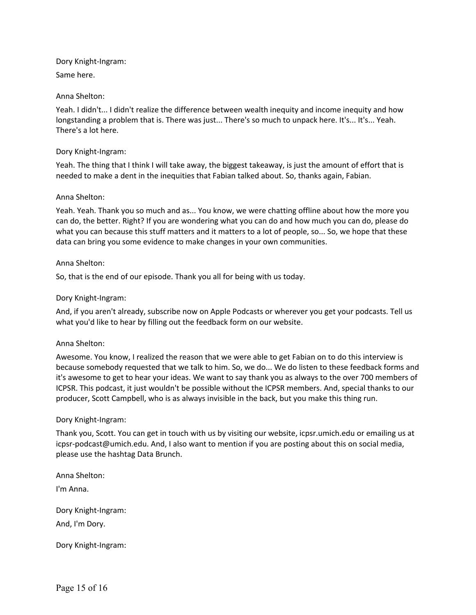Dory Knight-Ingram: Same here.

### Anna Shelton:

Yeah. I didn't... I didn't realize the difference between wealth inequity and income inequity and how longstanding a problem that is. There was just... There's so much to unpack here. It's... It's... Yeah. There's a lot here.

#### Dory Knight-Ingram:

Yeah. The thing that I think I will take away, the biggest takeaway, is just the amount of effort that is needed to make a dent in the inequities that Fabian talked about. So, thanks again, Fabian.

#### Anna Shelton:

Yeah. Yeah. Thank you so much and as... You know, we were chatting offline about how the more you can do, the better. Right? If you are wondering what you can do and how much you can do, please do what you can because this stuff matters and it matters to a lot of people, so... So, we hope that these data can bring you some evidence to make changes in your own communities.

#### Anna Shelton:

So, that is the end of our episode. Thank you all for being with us today.

#### Dory Knight-Ingram:

And, if you aren't already, subscribe now on Apple Podcasts or wherever you get your podcasts. Tell us what you'd like to hear by filling out the feedback form on our website.

#### Anna Shelton:

Awesome. You know, I realized the reason that we were able to get Fabian on to do this interview is because somebody requested that we talk to him. So, we do... We do listen to these feedback forms and it's awesome to get to hear your ideas. We want to say thank you as always to the over 700 members of ICPSR. This podcast, it just wouldn't be possible without the ICPSR members. And, special thanks to our producer, Scott Campbell, who is as always invisible in the back, but you make this thing run.

#### Dory Knight-Ingram:

Thank you, Scott. You can get in touch with us by visiting our website, icpsr.umich.edu or emailing us at icpsr-podcast@umich.edu. And, I also want to mention if you are posting about this on social media, please use the hashtag Data Brunch.

Anna Shelton:

I'm Anna.

Dory Knight-Ingram: And, I'm Dory.

Dory Knight-Ingram: